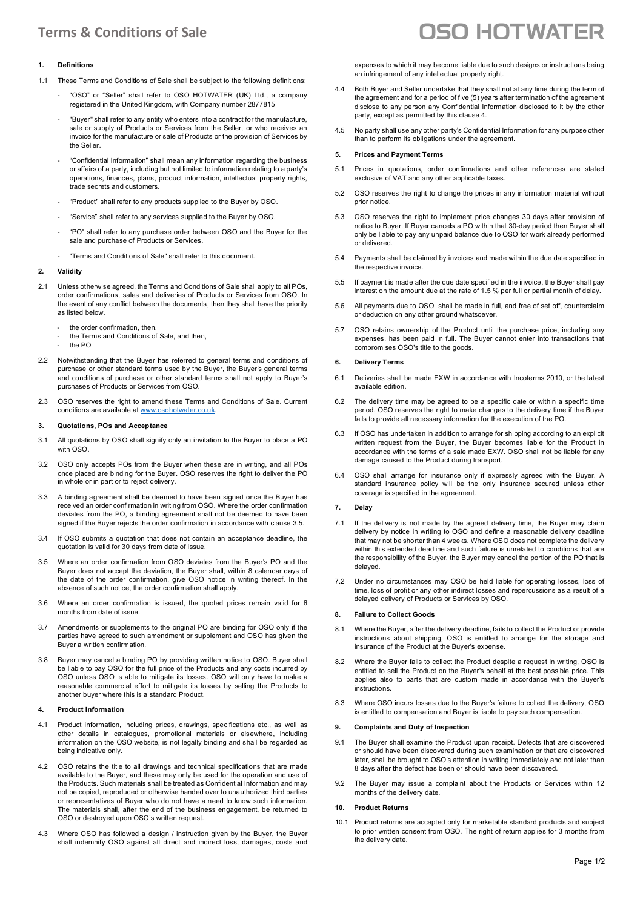# **Terms & Conditions of Sale**

# **1. Definitions**

- 1.1 These Terms and Conditions of Sale shall be subject to the following definitions:
	- "OSO" or "Seller" shall refer to OSO HOTWATER (UK) Ltd., a company registered in the United Kingdom, with Company number 2877815
	- "Buyer" shall refer to any entity who enters into a contract for the manufacture, sale or supply of Products or Services from the Seller, or who receives an invoice for the manufacture or sale of Products or the provision of Services by the Seller.
	- "Confidential Information" shall mean any information regarding the business or affairs of a party, including but not limited to information relating to a party's operations, finances, plans, product information, intellectual property rights, trade secrets and customers.
	- "Product" shall refer to any products supplied to the Buyer by OSO.
	- "Service" shall refer to any services supplied to the Buyer by OSO.
	- "PO" shall refer to any purchase order between OSO and the Buyer for the sale and purchase of Products or Services.
	- "Terms and Conditions of Sale" shall refer to this document.

## **2. Validity**

- 2.1 Unless otherwise agreed, the Terms and Conditions of Sale shall apply to all POs, order confirmations, sales and deliveries of Products or Services from OSO. In the event of any conflict between the documents, then they shall have the priority as listed below.
	- the order confirmation, then,
	- the Terms and Conditions of Sale, and then,
	- the PO
- 2.2 Notwithstanding that the Buyer has referred to general terms and conditions of purchase or other standard terms used by the Buyer, the Buyer's general terms and conditions of purchase or other standard terms shall not apply to Buyer's purchases of Products or Services from OSO.
- 2.3 OSO reserves the right to amend these Terms and Conditions of Sale. Current conditions are available a[t www.osohotwater.co.uk.](http://www.osohotwater.co.uk/)

#### **3. Quotations, POs and Acceptance**

- 3.1 All quotations by OSO shall signify only an invitation to the Buyer to place a PO with OSO.
- 3.2 OSO only accepts POs from the Buyer when these are in writing, and all POs once placed are binding for the Buyer. OSO reserves the right to deliver the PO in whole or in part or to reject delivery.
- 3.3 A binding agreement shall be deemed to have been signed once the Buyer has received an order confirmation in writing from OSO. Where the order confirmation deviates from the PO, a binding agreement shall not be deemed to have been signed if the Buyer rejects the order confirmation in accordance with clause 3.5.
- 3.4 If OSO submits a quotation that does not contain an acceptance deadline, the quotation is valid for 30 days from date of issue.
- 3.5 Where an order confirmation from OSO deviates from the Buyer's PO and the Buyer does not accept the deviation, the Buyer shall, within 8 calendar days of the date of the order confirmation, give OSO notice in writing thereof. In the absence of such notice, the order confirmation shall apply.
- 3.6 Where an order confirmation is issued, the quoted prices remain valid for 6 months from date of issue.
- 3.7 Amendments or supplements to the original PO are binding for OSO only if the parties have agreed to such amendment or supplement and OSO has given the Buyer a written confirmation.
- 3.8 Buyer may cancel a binding PO by providing written notice to OSO. Buyer shall be liable to pay OSO for the full price of the Products and any costs incurred by OSO unless OSO is able to mitigate its losses. OSO will only have to make a reasonable commercial effort to mitigate its losses by selling the Products to another buyer where this is a standard Product.

#### **4. Product Information**

- 4.1 Product information, including prices, drawings, specifications etc., as well as other details in catalogues, promotional materials or elsewhere, including information on the OSO website, is not legally binding and shall be regarded as being indicative only.
- 4.2 OSO retains the title to all drawings and technical specifications that are made available to the Buyer, and these may only be used for the operation and use of the Products. Such materials shall be treated as Confidential Information and may not be copied, reproduced or otherwise handed over to unauthorized third parties or representatives of Buyer who do not have a need to know such information. The materials shall, after the end of the business engagement, be returned to OSO or destroyed upon OSO's written request.
- 4.3 Where OSO has followed a design / instruction given by the Buyer, the Buyer shall indemnify OSO against all direct and indirect loss, damages, costs and

# **OSO HOTWATER**

expenses to which it may become liable due to such designs or instructions being an infringement of any intellectual property right.

- 4.4 Both Buyer and Seller undertake that they shall not at any time during the term of the agreement and for a period of five (5) years after termination of the agreement disclose to any person any Confidential Information disclosed to it by the other party, except as permitted by this clause 4.
- 4.5 No party shall use any other party's Confidential Information for any purpose other than to perform its obligations under the agreement.

#### **5. Prices and Payment Terms**

- 5.1 Prices in quotations, order confirmations and other references are stated exclusive of VAT and any other applicable taxes.
- 5.2 OSO reserves the right to change the prices in any information material without prior notice.
- 5.3 OSO reserves the right to implement price changes 30 days after provision of notice to Buyer. If Buyer cancels a PO within that 30-day period then Buyer shall only be liable to pay any unpaid balance due to OSO for work already performed or delivered.
- 5.4 Payments shall be claimed by invoices and made within the due date specified in the respective invoice.
- 5.5 If payment is made after the due date specified in the invoice, the Buyer shall pay interest on the amount due at the rate of 1.5 % per full or partial month of delay.
- 5.6 All payments due to OSO shall be made in full, and free of set off, counterclaim or deduction on any other ground whatsoever.
- 5.7 OSO retains ownership of the Product until the purchase price, including any expenses, has been paid in full. The Buyer cannot enter into transactions that compromises OSO's title to the goods.

#### **6. Delivery Terms**

- 6.1 Deliveries shall be made EXW in accordance with Incoterms 2010, or the latest available edition.
- 6.2 The delivery time may be agreed to be a specific date or within a specific time period. OSO reserves the right to make changes to the delivery time if the Buyer fails to provide all necessary information for the execution of the PO.
- 6.3 If OSO has undertaken in addition to arrange for shipping according to an explicit written request from the Buyer, the Buyer becomes liable for the Product in accordance with the terms of a sale made EXW. OSO shall not be liable for any damage caused to the Product during transport.
- 6.4 OSO shall arrange for insurance only if expressly agreed with the Buyer. A standard insurance policy will be the only insurance secured unless other coverage is specified in the agreement.

#### **7. Delay**

- 7.1 If the delivery is not made by the agreed delivery time, the Buyer may claim delivery by notice in writing to OSO and define a reasonable delivery deadline that may not be shorter than 4 weeks. Where OSO does not complete the delivery within this extended deadline and such failure is unrelated to conditions that are the responsibility of the Buyer, the Buyer may cancel the portion of the PO that is delayed.
- 7.2 Under no circumstances may OSO be held liable for operating losses, loss of time, loss of profit or any other indirect losses and repercussions as a result of a delayed delivery of Products or Services by OSO.

## **8. Failure to Collect Goods**

- 8.1 Where the Buyer, after the delivery deadline, fails to collect the Product or provide instructions about shipping, OSO is entitled to arrange for the storage and insurance of the Product at the Buyer's expense.
- 8.2 Where the Buyer fails to collect the Product despite a request in writing, OSO is entitled to sell the Product on the Buyer's behalf at the best possible price. This applies also to parts that are custom made in accordance with the Buyer's instructions.
- 8.3 Where OSO incurs losses due to the Buyer's failure to collect the delivery, OSO is entitled to compensation and Buyer is liable to pay such compensation.

#### **9. Complaints and Duty of Inspection**

- 9.1 The Buyer shall examine the Product upon receipt. Defects that are discovered or should have been discovered during such examination or that are discovered later, shall be brought to OSO's attention in writing immediately and not later than 8 days after the defect has been or should have been discovered.
- 9.2 The Buyer may issue a complaint about the Products or Services within 12 months of the delivery date.

#### **10. Product Returns**

10.1 Product returns are accepted only for marketable standard products and subject to prior written consent from OSO. The right of return applies for 3 months from the delivery date.